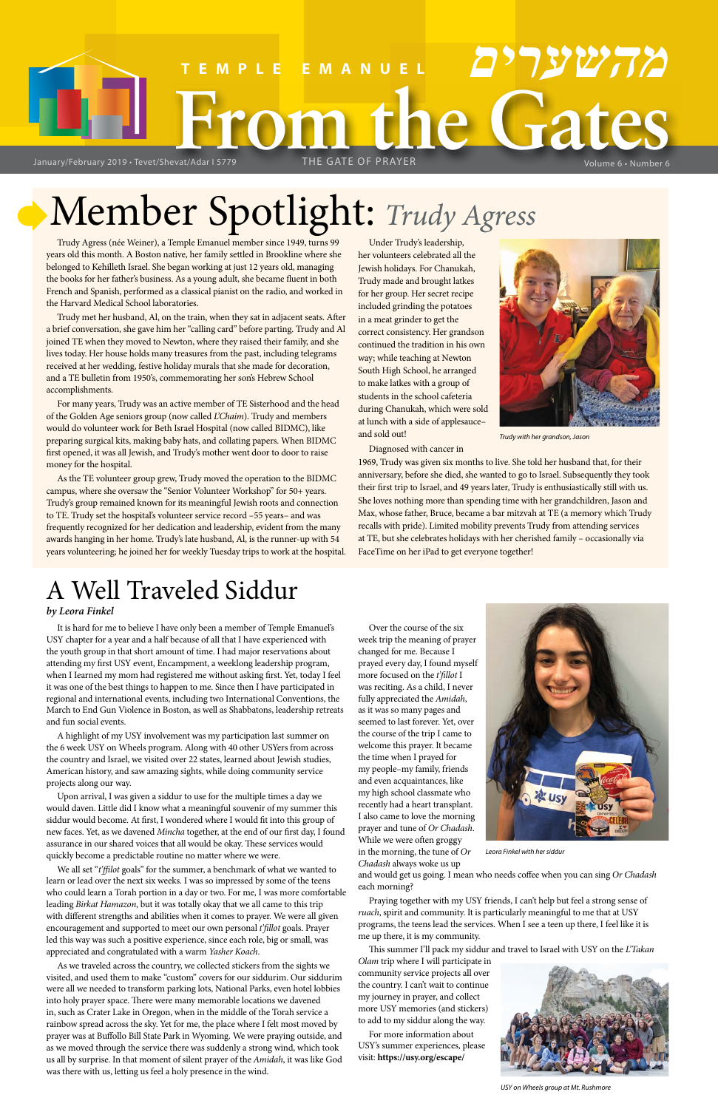# **From the Gates TEMPLE EMANUEL מהשערים** January/February 2019 • Tevet/Shevat/Adar I 5779 THE GATE OF PRAYER Volume 6 • Number 6

# Member Spotlight: *Trudy Agress*

# A Well Traveled Siddur

## *by Leora Finkel*

It is hard for me to believe I have only been a member of Temple Emanuel's USY chapter for a year and a half because of all that I have experienced with the youth group in that short amount of time. I had major reservations about attending my first USY event, Encampment, a weeklong leadership program, when I Iearned my mom had registered me without asking first. Yet, today I feel it was one of the best things to happen to me. Since then I have participated in regional and international events, including two International Conventions, the March to End Gun Violence in Boston, as well as Shabbatons, leadership retreats and fun social events.

A highlight of my USY involvement was my participation last summer on the 6 week USY on Wheels program. Along with 40 other USYers from across the country and Israel, we visited over 22 states, learned about Jewish studies, American history, and saw amazing sights, while doing community service projects along our way.

Upon arrival, I was given a siddur to use for the multiple times a day we would daven. Little did I know what a meaningful souvenir of my summer this siddur would become. At first, I wondered where I would fit into this group of new faces. Yet, as we davened *Mincha* together, at the end of our first day, I found assurance in our shared voices that all would be okay. These services would quickly become a predictable routine no matter where we were.

We all set "*t'ffilot* goals" for the summer, a benchmark of what we wanted to learn or lead over the next six weeks. I was so impressed by some of the teens who could learn a Torah portion in a day or two. For me, I was more comfortable leading *Birkat Hamazon*, but it was totally okay that we all came to this trip with different strengths and abilities when it comes to prayer. We were all given encouragement and supported to meet our own personal *t'fillot* goals. Prayer led this way was such a positive experience, since each role, big or small, was appreciated and congratulated with a warm *Yasher Koach*.

As we traveled across the country, we collected stickers from the sights we visited, and used them to make "custom" covers for our siddurim. Our siddurim were all we needed to transform parking lots, National Parks, even hotel lobbies into holy prayer space. There were many memorable locations we davened in, such as Crater Lake in Oregon, when in the middle of the Torah service a rainbow spread across the sky. Yet for me, the place where I felt most moved by prayer was at Buffollo Bill State Park in Wyoming. We were praying outside, and as we moved through the service there was suddenly a strong wind, which took us all by surprise. In that moment of silent prayer of the *Amidah*, it was like God was there with us, letting us feel a holy presence in the wind.

Over the course of the six week trip the meaning of prayer changed for me. Because I prayed every day, I found myself more focused on the *t'fillot* I was reciting. As a child, I never fully appreciated the *Amidah*, as it was so many pages and seemed to last forever. Yet, over the course of the trip I came to welcome this prayer. It became the time when I prayed for my people–my family, friends and even acquaintances, like my high school classmate who recently had a heart transplant.



I also came to love the morning prayer and tune of *Or Chadash*. While we were often groggy in the morning, the tune of *Or Chadash* always woke us up

and would get us going. I mean who needs coffee when you can sing *Or Chadash* each morning?

Praying together with my USY friends, I can't help but feel a strong sense of *ruach*, spirit and community. It is particularly meaningful to me that at USY programs, the teens lead the services. When I see a teen up there, I feel like it is me up there, it is my community.

This summer I'll pack my siddur and travel to Israel with USY on the *L'Takan* 

*Olam* trip where I will participate in community service projects all over the country. I can't wait to continue my journey in prayer, and collect more USY memories (and stickers) to add to my siddur along the way.

For more information about USY's summer experiences, please visit: **https://usy.org/escape/**

*Leora Finkel with her siddur*



*USY on Wheels group at Mt. Rushmore*

Trudy Agress (née Weiner), a Temple Emanuel member since 1949, turns 99 years old this month. A Boston native, her family settled in Brookline where she belonged to Kehilleth Israel. She began working at just 12 years old, managing the books for her father's business. As a young adult, she became fluent in both French and Spanish, performed as a classical pianist on the radio, and worked in the Harvard Medical School laboratories.

Trudy met her husband, Al, on the train, when they sat in adjacent seats. After a brief conversation, she gave him her "calling card" before parting. Trudy and Al joined TE when they moved to Newton, where they raised their family, and she lives today. Her house holds many treasures from the past, including telegrams received at her wedding, festive holiday murals that she made for decoration, and a TE bulletin from 1950's, commemorating her son's Hebrew School accomplishments.

For many years, Trudy was an active member of TE Sisterhood and the head of the Golden Age seniors group (now called *L'Chaim*). Trudy and members would do volunteer work for Beth Israel Hospital (now called BIDMC), like preparing surgical kits, making baby hats, and collating papers. When BIDMC first opened, it was all Jewish, and Trudy's mother went door to door to raise money for the hospital.

As the TE volunteer group grew, Trudy moved the operation to the BIDMC campus, where she oversaw the "Senior Volunteer Workshop" for 50+ years. Trudy's group remained known for its meaningful Jewish roots and connection to TE. Trudy set the hospital's volunteer service record –55 years– and was frequently recognized for her dedication and leadership, evident from the many awards hanging in her home. Trudy's late husband, Al, is the runner-up with 54 years volunteering; he joined her for weekly Tuesday trips to work at the hospital.

Under Trudy's leadership, her volunteers celebrated all the Jewish holidays. For Chanukah, Trudy made and brought latkes for her group. Her secret recipe included grinding the potatoes in a meat grinder to get the correct consistency. Her grandson continued the tradition in his own way; while teaching at Newton South High School, he arranged to make latkes with a group of students in the school cafeteria during Chanukah, which were sold at lunch with a side of applesauce– and sold out!

Diagnosed with cancer in

1969, Trudy was given six months to live. She told her husband that, for their anniversary, before she died, she wanted to go to Israel. Subsequently they took their first trip to Israel, and 49 years later, Trudy is enthusiastically still with us. She loves nothing more than spending time with her grandchildren, Jason and Max, whose father, Bruce, became a bar mitzvah at TE (a memory which Trudy recalls with pride). Limited mobility prevents Trudy from attending services at TE, but she celebrates holidays with her cherished family – occasionally via FaceTime on her iPad to get everyone together!



*Trudy with her grandson, Jason*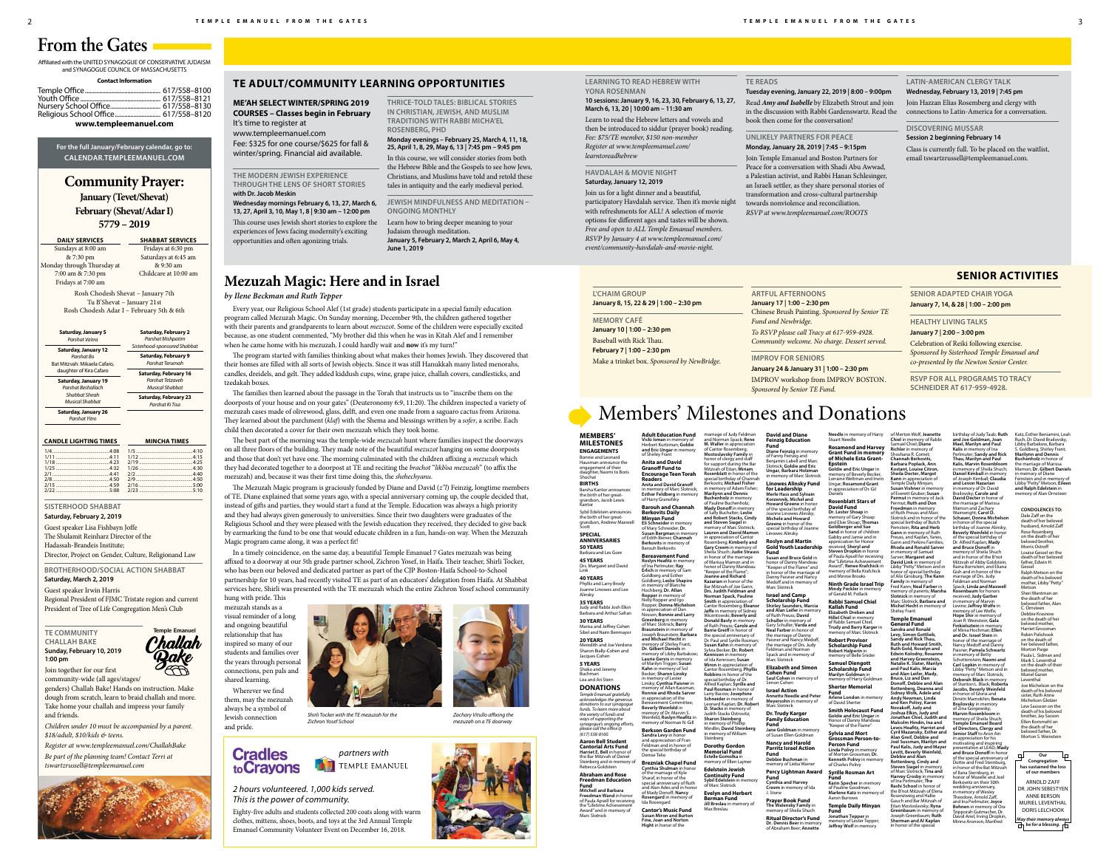# **Community Prayer:**

**January (Tevet/Shevat) February (Shevat/Adar I)**

**5779 – 2019**

| <b>DAILY SERVICES</b>      | <b>SHABBAT SERVICES</b> |
|----------------------------|-------------------------|
| Sundays at 8:00 am         | Fridays at 6:30 pm      |
| & 7:30 pm                  | Saturdays at 6:45 am    |
| Monday through Thursday at | & 9:30 am               |
| 7:00 am & 7:30 pm          | Childcare at 10:00 am   |
| Fridays at 7:00 am         |                         |
|                            |                         |

Rosh Chodesh Shevat – January 7th Tu B'Shevat – January 21st Rosh Chodesh Adar I – February 5th & 6th

Affiliated with the UNITED SYNAGOGUE OF CONSERVATIVE JUDAISM and SYNAGOGUE COUNCIL OF MASSACHUSETTS

| <b>Contact Information</b>                                                 |  |  |
|----------------------------------------------------------------------------|--|--|
| Nursery School Office 617/558–8130<br>Religious School Office 617/558–8120 |  |  |
|                                                                            |  |  |

**www.templeemanuel.com**

**For the full January/February calendar, go to: CALENDAR.TEMPLEEMANUEL.COM**

# **From the Gates**

# Members' Milestones and Donations

**CANDLE LIGHTING TIMES MINCHA TIMES**

Barsha Kantor announces the birth of her great-grandson, Jacob Lewis Kantor Sybil Edelstein announces

Sibel and Naim Benmayo **20 YEARS** Meredith and Joe Verdone

Sharon Bially-Cohen and Jacques Cohe

*(617) 558-8100.* **Cantorial Arts Fund Harriet E. Bell** in honor of

1/5 .................................................4:10

**Aaron Bell Studen** the Bar Mitzvah of Daniel<br>Steinberg and in memory of Rebecca Goldstein

2/19 ..............................................4:25

1/26 ..............................................4:30

2/2 .................................................4:40 2/9 .................................................4:50 2/16 ..............................................5:00

4:15.<br>.4:25

.5:10

# **MEMBERS'**

**MILESTONES** Bonnie and Leonard

**ENGAGEMENTS** Hausman announce the engagement of their daughter, Naomi to Boris Shochat



the birth of her great-grandson, Andrew Maxwell Scott **SPECIAL ANNIVERSARIES 50 YEARS**

Barbara and Les Gore

**45 YEARS** Drs. Margaret and David Link

**40 YEARS** Phyllis and Larry Brody Joanne Linowes and Lee Alinsky

**35 YEARS** Judy and Rabbi Josh Elkin

nd Jeffrey Cohen

Barbara and Arthur Safran **30 YEARS**

**5 YEARS**

Shoko and Jeremy Buchman Lea and Ari Stern

# **DONATIONS**

# *Temple Emanuel gratefully acknowledges the generous donations to our synagogue funds. To learn more about*

**Our Congregation has sustained the loss of our members** ARNOLD ZAFF DR. JOHN SEBESTYEN ANNE BERSON MURIEL LEVENTHAL DORIS LELCHOOK *May their memory always*   $\overrightarrow{h}$  be for a blessing.  $\overrightarrow{h}$ 

*the variety of funds and ways of supporting the synagogue's ongoing efforts, please call the office @*

**Abraham and Rose Freedman Education** 

**Fund Mitchell and Barbara Freedman Wand** in hono of Paula Apsell for receiving the "Lifetime Achievem Award" and in memory of Marc Slotnick

| <b>Saturday, January 5</b><br>Parshat Va'era<br><b>Saturday, January 12</b><br>Parshat Bo<br>Bat Mitzvah: Mikaela Cafaro.<br>daughter of Kira Cafaro<br><b>Saturday, January 19</b><br>Parshat Beshallach<br>Shabbat Shirah<br>Musical Shabbat | <b>Saturday, February 2</b><br>Parshat Mishpatim<br>Sisterhood-sponsored Shabbat |
|------------------------------------------------------------------------------------------------------------------------------------------------------------------------------------------------------------------------------------------------|----------------------------------------------------------------------------------|
|                                                                                                                                                                                                                                                | <b>Saturday, February 9</b><br>Parshat Terumah                                   |
|                                                                                                                                                                                                                                                | <b>Saturday, February 16</b><br>Parshat Tetzaveh<br>Musical Shabbat              |
|                                                                                                                                                                                                                                                | <b>Saturday, February 23</b><br>Parshat Ki Tisa                                  |
| <b>Saturday, January 26</b><br>Parshat Yitro                                                                                                                                                                                                   |                                                                                  |

**CONDOLENCES TO:** Dale Zaff on the death of her belove husband, Arnold Zaff Rose Rosenberg<br>on the death of her<br>beloved brother, Morris Ostroff Louise Gessel on the death of her beloved father, Edwin H. Gessel Ralph Metson on the death of his beloved mother, Libby "Petty" Metson Sheri Wantman on the death of her beloved father, Alan C. Ornsteen Debbie Krasnow on the death of he beloved mother, Harriet Grossman Robin Polishook on the death of her beloved father Morton Paige Paula L. Sidman and Mark S. Leventhal on the death of their beloved mother, Muriel Guren Leventhal Joe Michelson on the death of his beloved sister, Ruth Anne Michelson Glotze Lew Sassoon on the death of his beloved brother, Jay Sasson Ellen Kornmehl on the death of her beloved father, Dr. Morton S. Weinstein

**ME'AH SELECT WINTER/SPRING 2019 COURSES – Classes begin in February** It's time to register at

www.templeemanuel.com Fee: \$325 for one course/\$625 for fall & winter/spring. Financial aid available.

### **THE MODERN JEWISH EXPERIENCE THROUGH THE LENS OF SHORT STORIES with Dr. Jacob Meskin**

**Wednesday mornings February 6, 13, 27, March 6, 13, 27, April 3, 10, May 1, 8 | 9:30 am – 12:00 pm**

This course uses Jewish short stories to explore the experiences of Jews facing modernity's exciting opportunities and often agonizing trials.

# **THRICE-TOLD TALES: BIBLICAL STORIES IN CHRISTIAN, JEWISH, AND MUSLIM TRADITIONS WITH RABBI MICHA'EL ROSENBERG, PHD**

### **Monday evenings – February 25, March 4, 11, 18, 25, April 1, 8, 29, May 6, 13 | 7:45 pm – 9:45 pm**

In this course, we will consider stories from both the Hebrew Bible and the Gospels to see how Jews, Christians, and Muslims have told and retold these tales in antiquity and the early medieval period.

**JEWISH MINDFULNESS AND MEDITATION – ONGOING MONTHLY**

Learn how to bring deeper meaning to your Judaism through meditation. **January 5, February 2, March 2, April 6, May 4, June 1, 2019**

### **LEARNING TO READ HEBREW WITH YONA ROSENMAN**

### **10 sessions: January 9, 16, 23, 30, February 6, 13, 27, March 6, 13, 20 | 10:00 am – 11:30 am**

Learn to read the Hebrew letters and vowels and then be introduced to siddur (prayer book) reading. *Fee: \$75/TE member, \$150 non-member Register at www.templeemanuel.com/ learntoreadhebrew*

## **HAVDALAH & MOVIE NIGHT Saturday, January 12, 2019**

**Bereavement Fund Roslyn Heafitz** in memory of Ina Perlmuter; **Ray Erlich** in memory of Sam Goldberg and Esther Goldberg; **Leslie Shapiro** in memory of Blanche Hochberg; **Dr. Allan Ropper** in memory of Nelly Ropper and Igo Ropper; **Donna Michelson** in appreciation of Dan Nesson; **Bonnie and Larry Greenberg** in memory of Marc Slotnick; **Barry Braunstein** in memory of Joseph Braunstein; **Barbara and Michael Hecht** in memory of Shirley Frant; **Dr. Gilbert Daniels** in memory of Libby Barbakow; **Laurie Gervis** in memory of Marilyn Trigger; **Susan Kahn** in memory of Sol Becker; **Sharon Linsky** in memory of Lester Linsky; **Cynthia Paisner** in memory of Allan Kassman; **Ronnie and Rhoda Sarver** in appreciation of the Bereavement Committee; **Beverly Weinfeld** in memory of Dr. Marvin S.<br>Weinfeld; **Roslyn Heafitz** in<br>memory of Norman N. Gill

Join us for a light dinner and a beautiful, participatory Havdalah service. Then it's movie night with refreshments for ALL! A selection of movie options for different ages and tastes will be shown. *Free and open to ALL Temple Emanuel members. RSVP by January 4 at www.templeemanuel.com/ event/community-havdalah-and-movie-night.*

### **TE READS**

# **Tuesday evening, January 22, 2019 | 8:00 – 9:00pm**

Read *Amy and Isabelle* by Elizabeth Strout and join in the discussion with Rabbi Gardenswartz. Read the book then come for the conversation!

**UNLIKELY PARTNERS FOR PEACE Monday, January 28, 2019 | 7:45 – 9:15pm** Join Temple Emanuel and Boston Partners for Peace for a conversation with Shadi Abu Awwad, a Palestian activist, and Rabbi Hanan Schlesinger, an Israeli settler, as they share personal stories of transformation and cross-cultural partnership towards nonviolence and reconciliation. *RSVP at www.templeemanuel.com/ROOTS*

## **LATIN-AMERICAN CLERGY TALK Wednesday, February 13, 2019 | 7:45 pm** Join Hazzan Elias Rosemberg and clergy with connections to Latin-America for a conversation.

**DISCOVERING MUSSAR Session 2 beginning February 14** Class is currently full. To be placed on the waitlist, email tswartzrussell@templeemanuel.com.

# **TE COMMUNITY CHALLAH BAKE Sunday, February 10, 2019 1:00 pm**

Join together for our first community-wide (all ages/stages/

genders) Challah Bake! Hands on instruction. Make dough from scratch, learn to braid challah and more. Take home your challah and impress your family and friends.

*Children under 10 must be accompanied by a parent. \$18/adult, \$10/kids & teens.*

Mindlin; **David Steinl** in memory of William Steinberg **Dorothy Gordon Memorial Fund**

*Register at www.templeemanuel.com/ChallahBake Be part of the planning team! Contact Terri at* 

> **Evelyn and Herbert** Max Breslau

*tswartzrussell@templeemanuel.com*



**L'CHAIM GROUP January 8, 15, 22 & 29 | 1:00 – 2:30 pm**

**MEMORY CAFÉ January 10 | 1:00 – 2:30 pm** Baseball with Rick Thau. **February 7 | 1:00 – 2:30 pm** Make a trinket box. *Sponsored by NewBridge*.

**ARTFUL AFTERNOONS**

**January 17 | 1:00 – 2:30 pm** Chinese Brush Painting. *Sponsored by Senior TE Fund and Newbridge*.

# *To RSVP please call Tracy at 617-959-4928. Community welcome. No charge. Dessert served.*

**IMPROV FOR SENIORS**

**January 24 & January 31 | 1:00 – 2:30 pm** IMPROV workshop from IMPROV BOSTON. *Sponsored by Senior TE Fund*.

**SENIOR ADAPTED CHAIR YOGA January 7, 14, & 28 | 1:00 – 2:00 pm**

# **HEALTHY LIVING TALKS January 7 | 2:00 – 3:00 pm** Celebration of Reiki following exercise.

**Ritual Director's Fund Dr. Dennis Beer** in memory of Abraham Beer: **Annett** 

*Sponsored by Sisterhood Temple Emanuel and co-presented by the Newton Senior Center.*

**RSVP FOR ALL PROGRAMS TO TRACY SCHNEIDER AT 617-959-4928.**

# **TE ADULT/COMMUNITY LEARNING OPPORTUNITIES**

# **SENIOR ACTIVITIES Mezuzah Magic: Here and in Israel**

*by Ilene Beckman and Ruth Tepper*

Every year, our Religious School Alef (1st grade) students participate in a special family education program called Mezuzah Magic. On Sunday morning, December 9th, the children gathered together with their parents and grandparents to learn about *mezuzot*. Some of the children were especially excited because, as one student commented, "My brother did this when he was in Kitah Alef and I remember

> **Samuel Diengott Scholarship Fund Marilyn Goldman** in .<br>ory of Harry Goldma

r of the Flame" **Sylvia and Mort Grossman Person-to-Person Fund Linda Polivy** in memory

when he came home with his mezuzah. I could hardly wait and **now** it's my turn!"

**Jonathan Tepper** in memory of Lester Tepper; Jeffrey Wolf in memory

**Richler** in memory of Shoshana R. Comet; **Channah Berkovits, Barbara Poplack, Ann Kostant, Louise Citron, Sheila Decter, Margot Kann** in appreciation of Temple Daily Minyan; **Susan Vishner** in memory of Everett Gruber; **Susan Permut** in memory of Jack Permut; **Ruth and Don Freedman** in memory of Ruth Preuss and Marc Slotnick and in honor of the special birthday of Butch Pemstein; **Rita and Herb Gann** in memory of Ruth Preuss, and Kaplan, Yanes, Gann and Perkins Families; **Rhoda and Ronald Sarver** in memory of Samuel Sarver; **Margaret and David Link** in memory of Libby "Petty" Metson and in honor of special birthday of Alix Ginsburg; **The Kann Family** in memory of Fred Kann; **Neal Farber** in memory of parents; **Marsha Slotnick** in memory of Marc Slotnick; **Barbara and Michel Hecht** in mer

The program started with families thinking about what makes their homes Jewish. They discovered that their homes are filled with all sorts of Jewish objects. Since it was still Hanukkah many listed menorahs, candles, dreidels, and gelt. They added kiddush cups, wine, grape juice, challah covers, candlesticks, and

tzedakah boxes.

The families then learned about the passage in the Torah that instructs us to "inscribe them on the doorposts of your house and on your gates" (Deuteronomy 6:9, 11:20). The children inspected a variety of mezuzah cases made of olivewood, glass, delft, and even one made from a saguaro cactus from Arizona. They learned about the parchment (*klaf*) with the Shema and blessings written by a *sofer*, a scribe. Each

child then decorated a cover for their own mezuzah which they took home.

The best part of the morning was the temple-wide *mezuzah* hunt where families inspect the doorways on all three floors of the building. They made note of the beautiful *mezuzot* hanging on some doorposts and those that don't yet have one. The morning culminated with the children affixing a *mezuzah* which they had decorated together to a doorpost at TE and reciting the *brachot* "*likb'oa mezuzah*" (to affix the

mezuzah) and, because it was their first time doing this, the *shehechyanu*.

The Mezuzah Magic program is graciously funded by Diane and David (*z"l*) Feinzig, longtime members of TE. Diane explained that some years ago, with a special anniversary coming up, the couple decided that, instead of gifts and parties, they would start a fund at the Temple. Education was always a high priority and they had always given generously to universities. Since their two daughters were graduates of the Religious School and they were pleased with the Jewish education they received, they decided to give back by earmarking the fund to be one that would educate children in a fun, hands-on way. When the Mezuzah

Magic program came along, it was a perfect fit!

Katz, Esther Beniamini, Leah Ruch, Dr. David Brailovsky, Libby Barbakow, Barbara S. Goldberg, Shirley Frant; **Marilynn and Dennis Buchenholz** in honor of the marriage of Marissa Mamon; **Dr. Gilbert Daniels** n memory of Diane Feinstein and in memory o Libby "Petty" Metson; **Eileen and Ralph Edelstein** in memory of Alan Ornstee

In a timely coincidence, on the same day, a beautiful Temple Emanuel 7 Gates mezuzah was being affixed to a doorway at our 5th grade partner school, Zichron Yosef, in Haifa. Their teacher, Shirli Tocker, who has been our beloved and dedicated partner as part of the CJP Boston-Haifa School-to-School partnership for 10 years, had recently visited TE as part of an educators' delegation from Haifa. At Shabbat services here, Shirli was presented with the TE mezuzah which the entire Zichron Yosef school community

> *partners with* **THE TEMPLE EMANUEL**

hung with pride. This mezuzah stands as a visual reminder of a long and ongoing beautiful relationship that has inspired so many of our students and families over the years through personal connections, pen pals and

shared learning.

Wherever we find them, may the mezuzah always be a symbol of Jewish connection

and pride.

# **Adult Education Fund Vicki Isman** in memory of Herbert Kurtzman; **Goldie and Eric Ungar** in memory of Shirley Frant

### **Anita and David Granoff Fund to Encourage Teen Torah Readers Anita and David Granoff**

in memory of Marc Slotnick; **Esther Feldberg** in memory of Harry Granofsky **Barouh and Channah Berkovits Daily** 

### **Minyan Fund Eli Schneider** in memory of Mary Schneider; **Dr. Susan Bergman** in memory of Edith Biener; **Channah Berkovits** in memory of Barouh Berkovits

**Berkson Garden Fund Sandra Levy** in honor and appreciation of Fran Feldman and in honor o the special birthday of Denise Telio

**Brezniak Chapel Fund Cynthia Shulman** in honor of the marriage of Kyle Sharaf, in honor of th special anniversary of Ruth and Alan Ades and in hono of Mady Donoff; **Nancy Rosengard** in memory of Ida Rosengard

**Cantor's Music Fund Susan Miron and Burto Fine, Joan and Norton Hight** in honor of the

marriage of Judy Feldman and Norman Spack; **Rene M. Waller** in appreciation of Cantor Rosemberg; **Mostoslavsky Family** in honor of clergy and staff for support during the Ba Mitzvah of Eitan; **Miriam Rosenblatt** in honor of the special birthday of Channal Berkovits; **Michael Fisher** in memory of Adam Fisher; **Marilynn and Dennis Buchenholz** in memor Pauline Buchenholz **Mady Donoff** in memory of Sally Buchalter; **Leslie and Robert Stacks, Cindy and Steven Siagel** in memory of Marc Slotnick; **Lauren and David Mamon** in appreciation of Cantor Rosemberg; **Kimberly and Gary Creem** in me Sheila Shuch; **Judie Strauss** in honor of the marriage of Marissa Mamon and in honor of Danny Mandeau "Keeper of the Flame"; **Joanne and Richard Kazarian** in honor of the Bar Mitzvah of Joe Gann; **Drs. Judith Feldman and Norman Spack, Pauline Smith** in appreciation of Cantor Rosemberg; **Elean Jaffe** in memory of Sidney Wicentowski; **Beverly and Donald Bavly** in me of Ruth Preuss; **Carole and Barrie Greiff** in honor of the special anniversary of Dr. Paul and Syrille Rosman; **Susan Kahn** in memory of Sylvia Becker; **Dr. Robert Kennison** in memory of Ida Kennison; **Susan Miron** in appreciation of Cantor Rosemberg; **Phyllis Robbins** in honor of the secial birthday of Dr. Alfred Kaplan; **Syrille and Paul Rosman** in honor of **Larry Bacow; Joseph Schneider** in memory of Leonard Kaplan; **Dr. Robert D. Stacks** in memory of Judith Stacks Ostrovitz; **Sharon Steinberg** in memory of Philllip

**Estelle Gomolka** in memory of Ellen Lajme **Edelstein Jewish Continuity Fund**

**Sybil Edelstein** in memory of Marc Slotnick **Berman Fund Jill Breslau** in memory of

**David and Diane Feinzig Education Fund Diane Feinzig** in memory of Fanny Feinzig and Benjamin Labell and Marc Slotnick; **Goldie and Eric Ungar, Barbara Holzman** in memory of Marc Slotnick **Linowes Alinsky Fund** 

**for Leadership Merle Hass and Sylvain Korzennik, Michel and Howard Greene** in hono of the special birthday of Joanne Linowes Alinsky; **Michele and Howard Greene** in honor of the special birthday of Joanne Linowes Alinsky

### **Roslyn and Martin Gold Youth Leadership**

**Fund Susan and Bruce Gold** in honor of Danny Mandeau "Keeper of the Flame" and in honor of the marriage of Danny Paisner and Nancy Medoff and in memory of Marc Slotnick

### **Israel and Camp Scholarship Fund**

**Shirley Saunders, Marcia and Alan Leifer** in memory of Ruth Preuss; **David Schuller** in memory of Gary Schuller; **Varda and Neal Farber** in honor of the marriage of Danny Paisner and Nancy Medoff, the marriage of Drs. Judy Feldman and Norman Spack and in memory of Marc Slotnick

**Elizabeth and Simon Cohen Fund Saul Cohen** in mem Simon Cohen

**Israel Action Annette Needle and Peter Meyersohn** in memory of Marc Slotnick **Dr. Trudy Karger** 

**Family Education Fund Jane Goldman** in memory of Susan Ellen Goldman

**Nancy and Harold Parritz Israel Action Fund Debbie Buchman** in

memory of Lieba Wainer **Percy Lightman Award Fund**

**Cynthia and Harvey Creem** in memory of Ida J. Stone **Prayer Book Fund**

**The Walensky Family** in memory of Sheila Shuch

**Needle** in memory of Harry Stuart Needle **Rosamond and Harvey Grant Fund in memory of Michele Esta Grant-Epstein**

**Goldie and Eric Ungar** in memory of Beverly Becker, Lorraine Weltman and Irwin Ungar; **Rosamond Grant** n appreciation of Dr. Gil Daniels

### **Rosenblatt Stars of David Fund**

**Dr. Lester Shoap** in memory of Gary Shoap and Elsie Shoap; **Thomas Goldberger and Sue Sand** in honor of children iabby and Jamie and in appreciation for Honor received; **Sheryl and Steven Dropkin** in honor of Paula Apsell for receiving the "Lifetime Achievement Award"; **Renee Krafchick** in memory of Bella Krafchick and Minnie Brooks

**Ninth Grade Israel Trip Mindy Peckler** in memory of Gerald M. Pollack **Rabbi Samuel Chiel** 

**Kallah Fund Elizabeth Dreben and Hillel Chiel** in memory of Rabbi Samuel Chiel; **Thus Francis**<br>dv and Barry Karg memory of Marc Slotnick

**Robert Provisor Scholarship Fund Robert Halperin** in memory of Belle Snider

**Sherter Memorial Fund Arlene London** in memory of David Sherter

**Smith Holocaust Fund Goldie and Eric Ungar** in Honor of Danny Mandeau

of Morton Grossman; **Dr. Kenneth Polivy** in memory of Charles Polivy **Syrille Rosman Art** 

**Fund Karin Specher** in memory of Pauline Goodman;

**Marlene Katz** in memory of Aaron Burrows **Temple Daily Minyan** 

**Fund**

of Merton Wolf; **Jeanette Chiel** in memory of Rabbi Samuel Chiel; **Diane** 

# Shirley Frant **Temple Emanuel General Fund Sandra and Ronald Levy, Simon Gottlieb, Sandy and Rick Thau, Ruth and Howard Smith, Ruth Gold, Roselyn and Edwin Kolodny, Rosan and Harvey Greenstein, Natalie K. Slater, Marilyn and Paul Kalis, Marcia and Alan Leifer, Mady, Bruce, Liz and Dan Donoff, Debbie and Alan Rottenberg, Deanna and Sidney Wolk, Adele and Andy Newman, Linda and Ken Polivy, Karen Novakoff, Judy and Joshua Elkin, Judy and Jonathan Chiel, Judith and Malcolm Hindin, Ina and Lewis Heafitz, Harriet and Cyril Mazansky, Esther and Alan Greif, Debbie and Joel Sussman, Marilyn and Paul Kalis, Judy and Mayer Levitt, Beverly Weinfeld, Debbie and Alan Rottenberg, Cindy and Steven Siagel** in memory

of Marc Slotnick; **Tina and Harvey Crosby** in memory of Ina Perlmuter; **The Rashi School** in honor of the B'not Mitzvah of Elena **Cosenzweig and Hallie** Gauch and Bar Mitzvah of Eitan Mostoslavsky; **Ryna Greenbaum** in memory of Joseph Greenbaum; **Ruth Sherman and Al Kaplan** in honor of the special

birthday of Judy Taub; **Ruth** 

**and Joe Goldman, Joan Mael, Marilyn and Paul Kalis** in memory of Ina Perlmuter; **Sandy and Rick Thau, Marilyn and Paul Kalis, Marvin Rosenbloom** in memory of Sheila Shuch; **Daniel Kimball** in me of Joseph Kimball; **Claudia and Levon Nazarian** in memory of Dr. David Brailovsky; **Carole and David Decter** in honor of the marriage of Marissa Mamon and Zachary Wainwright; **Carol D. Schauer, Donna Michelson** in honor of the special birthday of Joanne Alinsky; **Beverly Weinfeld** in honor of the special birthday of Dr. Alfred Kaplan; **Mady and Bruce Donoff** in memory of Sheila Shuch and in honor of the B'not Mitzvah of Abby Goldstein Raina Bornstein, and Eliana Gish and in honor of the marriage of Drs. Judy Feldman and Norman Spack; **Linda and Maxwell Rosenbaum** for honors received; **Judy Garber** in memory of Marvin Levine; **Jeffrey Wolfe** in memory of Lee Wolfe; **Hope Shir** in memory of Joan R. Weinstein; **Gala Finkielsztein** in memory of Minia Hochman; **Ellen and Dr. Israel Stein** in honor of the marriage of Nancy Medoff and Danny Paisner; **Pamela Schwartz** in memory of Betty Schottenstein; **Naomi and Carl Lopkin** in memory of Libby "Petty" Metson and in nory of Marc Slotnick; **Deborah Black** in me of Stanton L. Black; **Robert Jacobs, Beverly Weinfeld** in honor of Gloria and Dimitri Mamokhin; **Renata Brailovsky** in memory of Zina Gorgewsky; **Marvin Rosenbloom** in memory of Sheila Shuch; **Temple Emanuel Board of Directors, Clergy and Senior Staff** to Aron Ain n appreciation for his motivating and inspiring presentation at LEAD; **Mady and Bruce Donoff** in hone of the special anniversary c Dottie and Fred Sternburg, in honor of the Bat Mitzvah

of Ilana Sternburg, in honor of Mozelle and Joel Berkowitz on their 50th wedding anniversary, in memory of Wesle Theodore, Arnold Zaff, and Ina Perlmuter; **Joyce Bohnen** in memory of Ora Tzipporah Gutmacher, Dr. David Ariel, Irving Dropkin, Minna Aronson, Manfred



*Shirli Tocker with the TE mezuzah for the Zichron Yosef School* 

**Cradles** to Crayons *Zachary Vitullo affixing the mezuzah on a TE doorway*



### **SISTERHOOD SHABBAT Saturday, February 2, 2019**

Guest speaker Lisa Fishbayn Joffe The Shulamit Reinharz Director of the Hadassah-Brandeis Institute; Director, Project on Gender, Culture, Religionand Law

**BROTHERHOOD/SOCIAL ACTION SHABBAT**

### **Saturday, March 2, 2019**

Guest speaker Irwin Harris

Regional President of FJMC Tristate region and current President of Tree of Life Congregation Men's Club

> *2 hours volunteered. 1,000 kids served. This is the power of community.*

Eighty-five adults and students collected 200 coats along with warm clothes, mittens, shoes, boots, and toys at the 3rd Annual Temple Emanuel Community Volunteer Event on December 16, 2018.